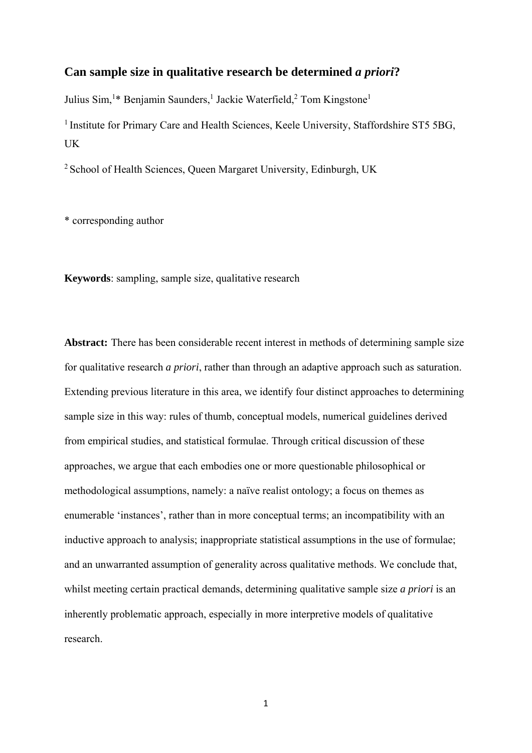# **Can sample size in qualitative research be determined** *a priori***?**

Julius Sim,<sup>1\*</sup> Benjamin Saunders,<sup>1</sup> Jackie Waterfield,<sup>2</sup> Tom Kingstone<sup>1</sup>

<sup>1</sup> Institute for Primary Care and Health Sciences, Keele University, Staffordshire ST5 5BG, UK

2 School of Health Sciences, Queen Margaret University, Edinburgh, UK

\* corresponding author

**Keywords**: sampling, sample size, qualitative research

**Abstract:** There has been considerable recent interest in methods of determining sample size for qualitative research *a priori*, rather than through an adaptive approach such as saturation. Extending previous literature in this area, we identify four distinct approaches to determining sample size in this way: rules of thumb, conceptual models, numerical guidelines derived from empirical studies, and statistical formulae. Through critical discussion of these approaches, we argue that each embodies one or more questionable philosophical or methodological assumptions, namely: a naïve realist ontology; a focus on themes as enumerable 'instances', rather than in more conceptual terms; an incompatibility with an inductive approach to analysis; inappropriate statistical assumptions in the use of formulae; and an unwarranted assumption of generality across qualitative methods. We conclude that, whilst meeting certain practical demands, determining qualitative sample size *a priori* is an inherently problematic approach, especially in more interpretive models of qualitative research.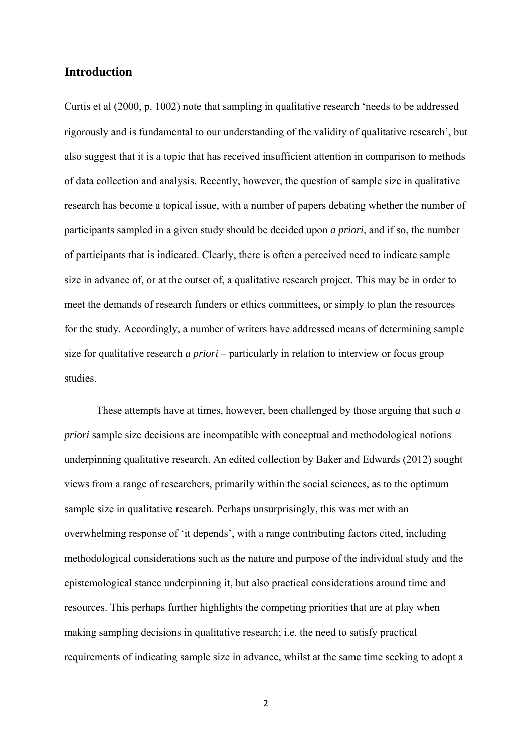# **Introduction**

Curtis et al (2000, p. 1002) note that sampling in qualitative research 'needs to be addressed rigorously and is fundamental to our understanding of the validity of qualitative research', but also suggest that it is a topic that has received insufficient attention in comparison to methods of data collection and analysis. Recently, however, the question of sample size in qualitative research has become a topical issue, with a number of papers debating whether the number of participants sampled in a given study should be decided upon *a priori*, and if so, the number of participants that is indicated. Clearly, there is often a perceived need to indicate sample size in advance of, or at the outset of, a qualitative research project. This may be in order to meet the demands of research funders or ethics committees, or simply to plan the resources for the study. Accordingly, a number of writers have addressed means of determining sample size for qualitative research *a priori* – particularly in relation to interview or focus group studies.

These attempts have at times, however, been challenged by those arguing that such *a priori* sample size decisions are incompatible with conceptual and methodological notions underpinning qualitative research. An edited collection by Baker and Edwards (2012) sought views from a range of researchers, primarily within the social sciences, as to the optimum sample size in qualitative research. Perhaps unsurprisingly, this was met with an overwhelming response of 'it depends', with a range contributing factors cited, including methodological considerations such as the nature and purpose of the individual study and the epistemological stance underpinning it, but also practical considerations around time and resources. This perhaps further highlights the competing priorities that are at play when making sampling decisions in qualitative research; i.e. the need to satisfy practical requirements of indicating sample size in advance, whilst at the same time seeking to adopt a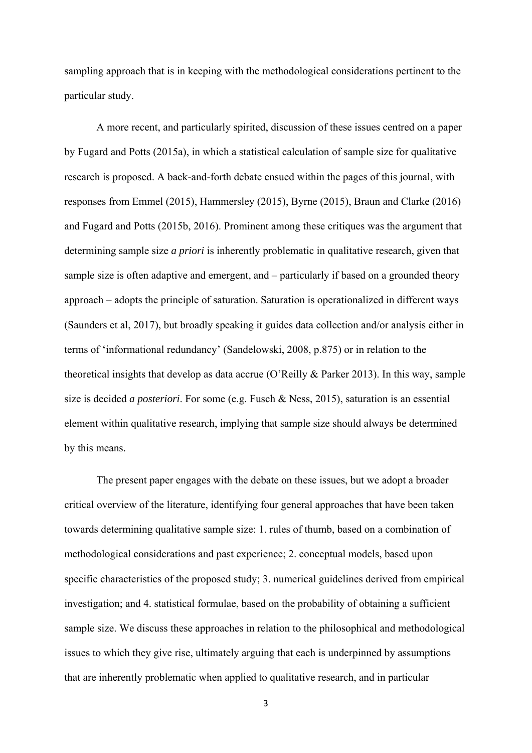sampling approach that is in keeping with the methodological considerations pertinent to the particular study.

A more recent, and particularly spirited, discussion of these issues centred on a paper by Fugard and Potts (2015a), in which a statistical calculation of sample size for qualitative research is proposed. A back-and-forth debate ensued within the pages of this journal, with responses from Emmel (2015), Hammersley (2015), Byrne (2015), Braun and Clarke (2016) and Fugard and Potts (2015b, 2016). Prominent among these critiques was the argument that determining sample size *a priori* is inherently problematic in qualitative research, given that sample size is often adaptive and emergent, and – particularly if based on a grounded theory approach – adopts the principle of saturation. Saturation is operationalized in different ways (Saunders et al, 2017), but broadly speaking it guides data collection and/or analysis either in terms of 'informational redundancy' (Sandelowski, 2008, p.875) or in relation to the theoretical insights that develop as data accrue (O'Reilly & Parker 2013). In this way, sample size is decided *a posteriori*. For some (e.g. Fusch & Ness, 2015), saturation is an essential element within qualitative research, implying that sample size should always be determined by this means.

The present paper engages with the debate on these issues, but we adopt a broader critical overview of the literature, identifying four general approaches that have been taken towards determining qualitative sample size: 1. rules of thumb, based on a combination of methodological considerations and past experience; 2. conceptual models, based upon specific characteristics of the proposed study; 3. numerical guidelines derived from empirical investigation; and 4. statistical formulae, based on the probability of obtaining a sufficient sample size. We discuss these approaches in relation to the philosophical and methodological issues to which they give rise, ultimately arguing that each is underpinned by assumptions that are inherently problematic when applied to qualitative research, and in particular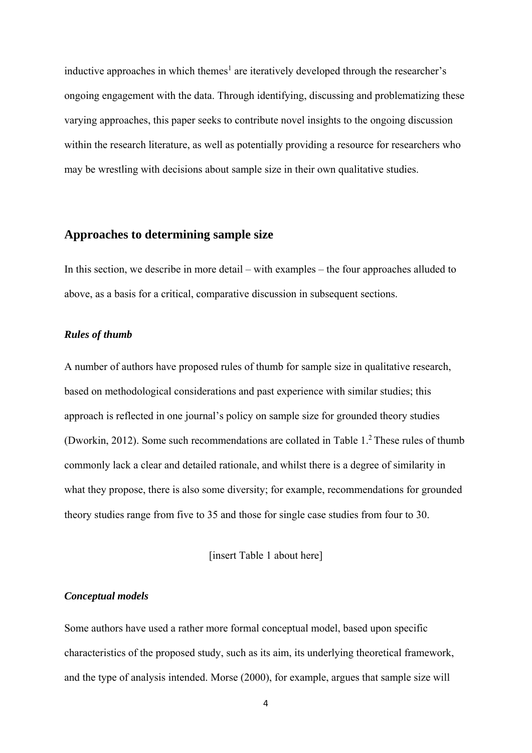inductive approaches in which themes<sup>1</sup> are iteratively developed through the researcher's ongoing engagement with the data. Through identifying, discussing and problematizing these varying approaches, this paper seeks to contribute novel insights to the ongoing discussion within the research literature, as well as potentially providing a resource for researchers who may be wrestling with decisions about sample size in their own qualitative studies.

# **Approaches to determining sample size**

In this section, we describe in more detail – with examples – the four approaches alluded to above, as a basis for a critical, comparative discussion in subsequent sections.

### *Rules of thumb*

A number of authors have proposed rules of thumb for sample size in qualitative research, based on methodological considerations and past experience with similar studies; this approach is reflected in one journal's policy on sample size for grounded theory studies (Dworkin, 2012). Some such recommendations are collated in Table 1.2 These rules of thumb commonly lack a clear and detailed rationale, and whilst there is a degree of similarity in what they propose, there is also some diversity; for example, recommendations for grounded theory studies range from five to 35 and those for single case studies from four to 30.

[insert Table 1 about here]

#### *Conceptual models*

Some authors have used a rather more formal conceptual model, based upon specific characteristics of the proposed study, such as its aim, its underlying theoretical framework, and the type of analysis intended. Morse (2000), for example, argues that sample size will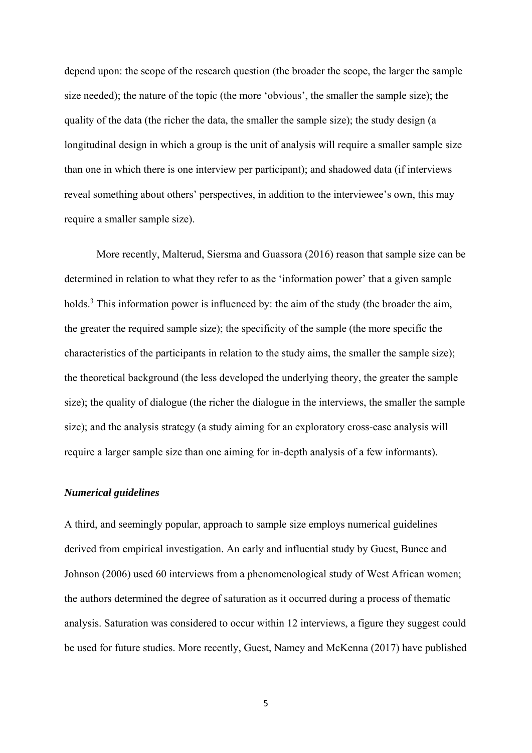depend upon: the scope of the research question (the broader the scope, the larger the sample size needed); the nature of the topic (the more 'obvious', the smaller the sample size); the quality of the data (the richer the data, the smaller the sample size); the study design (a longitudinal design in which a group is the unit of analysis will require a smaller sample size than one in which there is one interview per participant); and shadowed data (if interviews reveal something about others' perspectives, in addition to the interviewee's own, this may require a smaller sample size).

More recently, Malterud, Siersma and Guassora (2016) reason that sample size can be determined in relation to what they refer to as the 'information power' that a given sample holds.<sup>3</sup> This information power is influenced by: the aim of the study (the broader the aim, the greater the required sample size); the specificity of the sample (the more specific the characteristics of the participants in relation to the study aims, the smaller the sample size); the theoretical background (the less developed the underlying theory, the greater the sample size); the quality of dialogue (the richer the dialogue in the interviews, the smaller the sample size); and the analysis strategy (a study aiming for an exploratory cross-case analysis will require a larger sample size than one aiming for in-depth analysis of a few informants).

### *Numerical guidelines*

A third, and seemingly popular, approach to sample size employs numerical guidelines derived from empirical investigation. An early and influential study by Guest, Bunce and Johnson (2006) used 60 interviews from a phenomenological study of West African women; the authors determined the degree of saturation as it occurred during a process of thematic analysis. Saturation was considered to occur within 12 interviews, a figure they suggest could be used for future studies. More recently, Guest, Namey and McKenna (2017) have published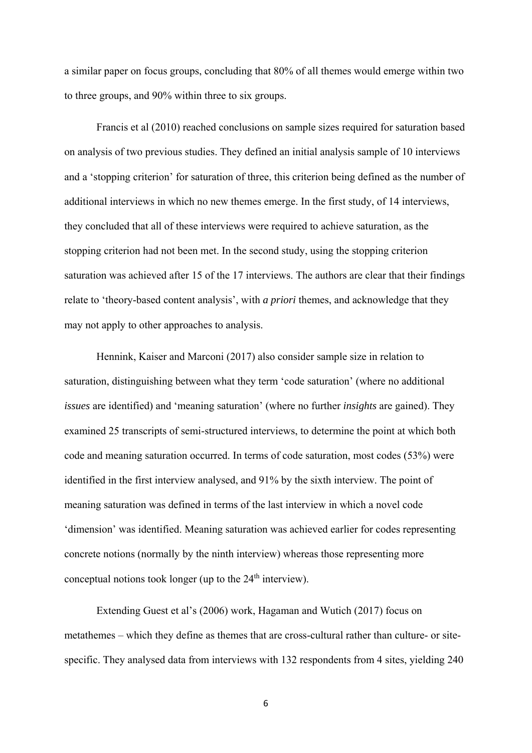a similar paper on focus groups, concluding that 80% of all themes would emerge within two to three groups, and 90% within three to six groups.

Francis et al (2010) reached conclusions on sample sizes required for saturation based on analysis of two previous studies. They defined an initial analysis sample of 10 interviews and a 'stopping criterion' for saturation of three, this criterion being defined as the number of additional interviews in which no new themes emerge. In the first study, of 14 interviews, they concluded that all of these interviews were required to achieve saturation, as the stopping criterion had not been met. In the second study, using the stopping criterion saturation was achieved after 15 of the 17 interviews. The authors are clear that their findings relate to 'theory-based content analysis', with *a priori* themes, and acknowledge that they may not apply to other approaches to analysis.

Hennink, Kaiser and Marconi (2017) also consider sample size in relation to saturation, distinguishing between what they term 'code saturation' (where no additional *issues* are identified) and 'meaning saturation' (where no further *insights* are gained). They examined 25 transcripts of semi-structured interviews, to determine the point at which both code and meaning saturation occurred. In terms of code saturation, most codes (53%) were identified in the first interview analysed, and 91% by the sixth interview. The point of meaning saturation was defined in terms of the last interview in which a novel code 'dimension' was identified. Meaning saturation was achieved earlier for codes representing concrete notions (normally by the ninth interview) whereas those representing more conceptual notions took longer (up to the  $24<sup>th</sup>$  interview).

Extending Guest et al's (2006) work, Hagaman and Wutich (2017) focus on metathemes – which they define as themes that are cross-cultural rather than culture- or sitespecific. They analysed data from interviews with 132 respondents from 4 sites, yielding 240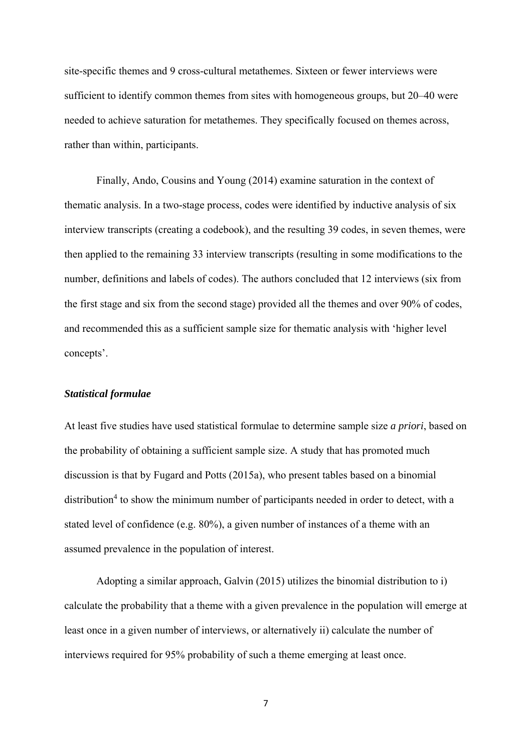site-specific themes and 9 cross-cultural metathemes. Sixteen or fewer interviews were sufficient to identify common themes from sites with homogeneous groups, but 20–40 were needed to achieve saturation for metathemes. They specifically focused on themes across, rather than within, participants.

Finally, Ando, Cousins and Young (2014) examine saturation in the context of thematic analysis. In a two-stage process, codes were identified by inductive analysis of six interview transcripts (creating a codebook), and the resulting 39 codes, in seven themes, were then applied to the remaining 33 interview transcripts (resulting in some modifications to the number, definitions and labels of codes). The authors concluded that 12 interviews (six from the first stage and six from the second stage) provided all the themes and over 90% of codes, and recommended this as a sufficient sample size for thematic analysis with 'higher level concepts'.

### *Statistical formulae*

At least five studies have used statistical formulae to determine sample size *a priori*, based on the probability of obtaining a sufficient sample size. A study that has promoted much discussion is that by Fugard and Potts (2015a), who present tables based on a binomial distribution<sup>4</sup> to show the minimum number of participants needed in order to detect, with a stated level of confidence (e.g. 80%), a given number of instances of a theme with an assumed prevalence in the population of interest.

Adopting a similar approach, Galvin (2015) utilizes the binomial distribution to i) calculate the probability that a theme with a given prevalence in the population will emerge at least once in a given number of interviews, or alternatively ii) calculate the number of interviews required for 95% probability of such a theme emerging at least once.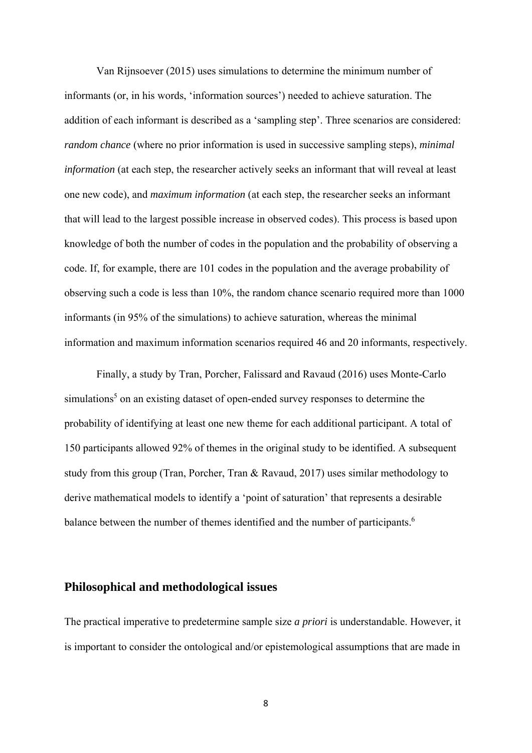Van Rijnsoever (2015) uses simulations to determine the minimum number of informants (or, in his words, 'information sources') needed to achieve saturation. The addition of each informant is described as a 'sampling step'. Three scenarios are considered: *random chance* (where no prior information is used in successive sampling steps), *minimal information* (at each step, the researcher actively seeks an informant that will reveal at least one new code), and *maximum information* (at each step, the researcher seeks an informant that will lead to the largest possible increase in observed codes). This process is based upon knowledge of both the number of codes in the population and the probability of observing a code. If, for example, there are 101 codes in the population and the average probability of observing such a code is less than 10%, the random chance scenario required more than 1000 informants (in 95% of the simulations) to achieve saturation, whereas the minimal information and maximum information scenarios required 46 and 20 informants, respectively.

Finally, a study by Tran, Porcher, Falissard and Ravaud (2016) uses Monte-Carlo simulations<sup>5</sup> on an existing dataset of open-ended survey responses to determine the probability of identifying at least one new theme for each additional participant. A total of 150 participants allowed 92% of themes in the original study to be identified. A subsequent study from this group (Tran, Porcher, Tran & Ravaud, 2017) uses similar methodology to derive mathematical models to identify a 'point of saturation' that represents a desirable balance between the number of themes identified and the number of participants.<sup>6</sup>

### **Philosophical and methodological issues**

The practical imperative to predetermine sample size *a priori* is understandable. However, it is important to consider the ontological and/or epistemological assumptions that are made in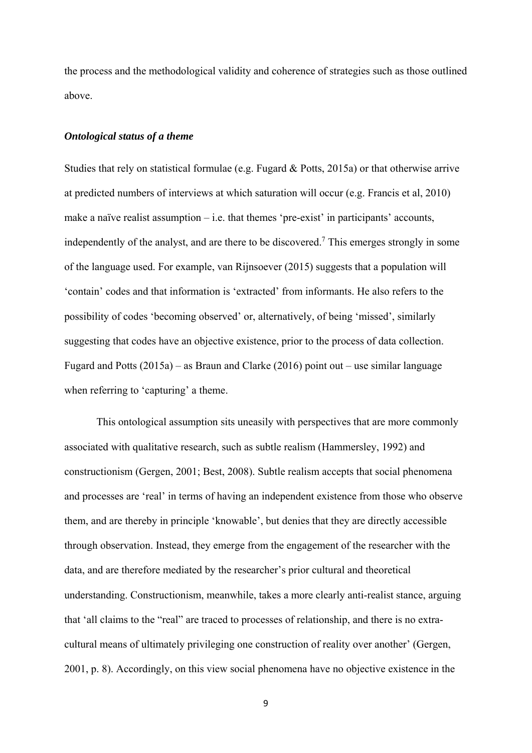the process and the methodological validity and coherence of strategies such as those outlined above.

### *Ontological status of a theme*

Studies that rely on statistical formulae (e.g. Fugard & Potts, 2015a) or that otherwise arrive at predicted numbers of interviews at which saturation will occur (e.g. Francis et al, 2010) make a naïve realist assumption  $-i.e.$  that themes 'pre-exist' in participants' accounts, independently of the analyst, and are there to be discovered.<sup>7</sup> This emerges strongly in some of the language used. For example, van Rijnsoever (2015) suggests that a population will 'contain' codes and that information is 'extracted' from informants. He also refers to the possibility of codes 'becoming observed' or, alternatively, of being 'missed', similarly suggesting that codes have an objective existence, prior to the process of data collection. Fugard and Potts (2015a) – as Braun and Clarke (2016) point out – use similar language when referring to 'capturing' a theme.

This ontological assumption sits uneasily with perspectives that are more commonly associated with qualitative research, such as subtle realism (Hammersley, 1992) and constructionism (Gergen, 2001; Best, 2008). Subtle realism accepts that social phenomena and processes are 'real' in terms of having an independent existence from those who observe them, and are thereby in principle 'knowable', but denies that they are directly accessible through observation. Instead, they emerge from the engagement of the researcher with the data, and are therefore mediated by the researcher's prior cultural and theoretical understanding. Constructionism, meanwhile, takes a more clearly anti-realist stance, arguing that 'all claims to the "real" are traced to processes of relationship, and there is no extracultural means of ultimately privileging one construction of reality over another' (Gergen, 2001, p. 8). Accordingly, on this view social phenomena have no objective existence in the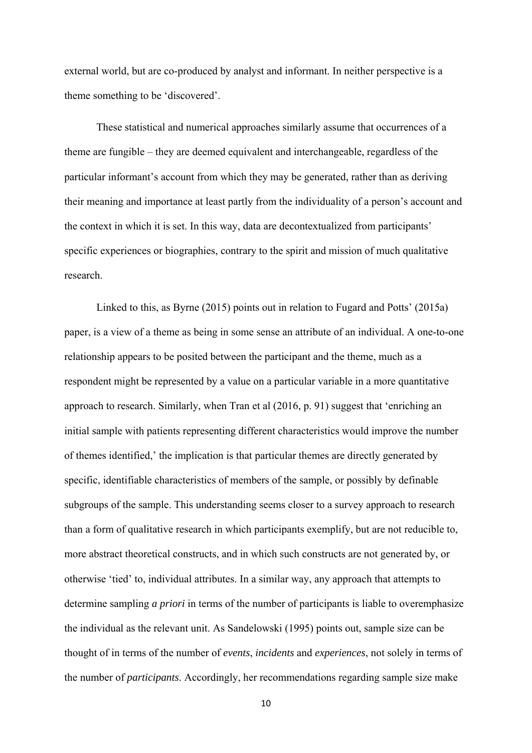external world, but are co-produced by analyst and informant. In neither perspective is a theme something to be 'discovered'.

These statistical and numerical approaches similarly assume that occurrences of a theme are fungible – they are deemed equivalent and interchangeable, regardless of the particular informant's account from which they may be generated, rather than as deriving their meaning and importance at least partly from the individuality of a person's account and the context in which it is set. In this way, data are decontextualized from participants' specific experiences or biographies, contrary to the spirit and mission of much qualitative research.

Linked to this, as Byrne (2015) points out in relation to Fugard and Potts' (2015a) paper, is a view of a theme as being in some sense an attribute of an individual. A one-to-one relationship appears to be posited between the participant and the theme, much as a respondent might be represented by a value on a particular variable in a more quantitative approach to research. Similarly, when Tran et al (2016, p. 91) suggest that 'enriching an initial sample with patients representing different characteristics would improve the number of themes identified,' the implication is that particular themes are directly generated by specific, identifiable characteristics of members of the sample, or possibly by definable subgroups of the sample. This understanding seems closer to a survey approach to research than a form of qualitative research in which participants exemplify, but are not reducible to, more abstract theoretical constructs, and in which such constructs are not generated by, or otherwise 'tied' to, individual attributes. In a similar way, any approach that attempts to determine sampling *a priori* in terms of the number of participants is liable to overemphasize the individual as the relevant unit. As Sandelowski (1995) points out, sample size can be thought of in terms of the number of *events*, *incidents* and *experiences*, not solely in terms of the number of *participants*. Accordingly, her recommendations regarding sample size make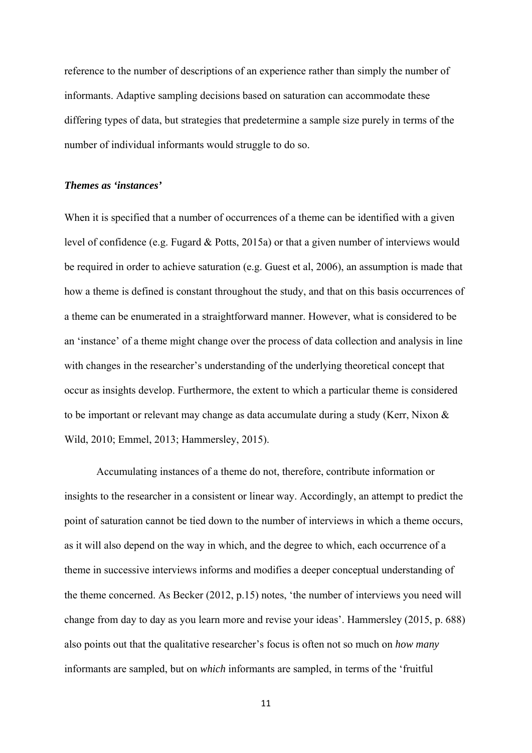reference to the number of descriptions of an experience rather than simply the number of informants. Adaptive sampling decisions based on saturation can accommodate these differing types of data, but strategies that predetermine a sample size purely in terms of the number of individual informants would struggle to do so.

## *Themes as 'instances'*

When it is specified that a number of occurrences of a theme can be identified with a given level of confidence (e.g. Fugard & Potts, 2015a) or that a given number of interviews would be required in order to achieve saturation (e.g. Guest et al, 2006), an assumption is made that how a theme is defined is constant throughout the study, and that on this basis occurrences of a theme can be enumerated in a straightforward manner. However, what is considered to be an 'instance' of a theme might change over the process of data collection and analysis in line with changes in the researcher's understanding of the underlying theoretical concept that occur as insights develop. Furthermore, the extent to which a particular theme is considered to be important or relevant may change as data accumulate during a study (Kerr, Nixon & Wild, 2010; Emmel, 2013; Hammersley, 2015).

Accumulating instances of a theme do not, therefore, contribute information or insights to the researcher in a consistent or linear way. Accordingly, an attempt to predict the point of saturation cannot be tied down to the number of interviews in which a theme occurs, as it will also depend on the way in which, and the degree to which, each occurrence of a theme in successive interviews informs and modifies a deeper conceptual understanding of the theme concerned. As Becker (2012, p.15) notes, 'the number of interviews you need will change from day to day as you learn more and revise your ideas'. Hammersley (2015, p. 688) also points out that the qualitative researcher's focus is often not so much on *how many* informants are sampled, but on *which* informants are sampled, in terms of the 'fruitful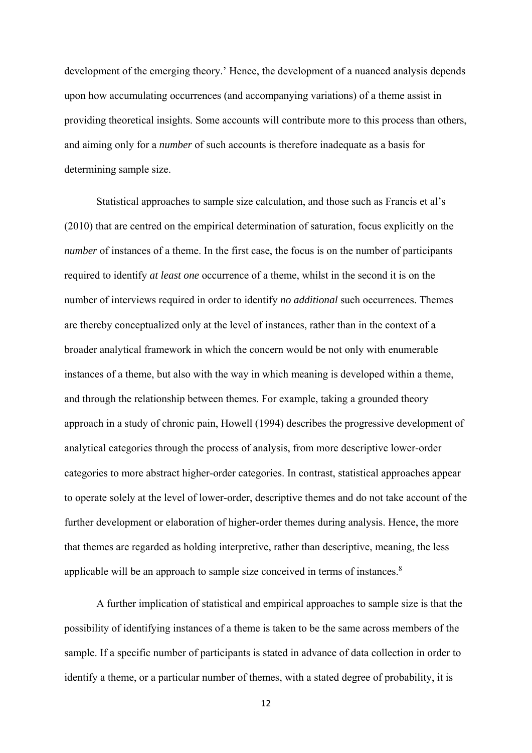development of the emerging theory.' Hence, the development of a nuanced analysis depends upon how accumulating occurrences (and accompanying variations) of a theme assist in providing theoretical insights. Some accounts will contribute more to this process than others, and aiming only for a *number* of such accounts is therefore inadequate as a basis for determining sample size.

Statistical approaches to sample size calculation, and those such as Francis et al's (2010) that are centred on the empirical determination of saturation, focus explicitly on the *number* of instances of a theme. In the first case, the focus is on the number of participants required to identify *at least one* occurrence of a theme, whilst in the second it is on the number of interviews required in order to identify *no additional* such occurrences. Themes are thereby conceptualized only at the level of instances, rather than in the context of a broader analytical framework in which the concern would be not only with enumerable instances of a theme, but also with the way in which meaning is developed within a theme, and through the relationship between themes. For example, taking a grounded theory approach in a study of chronic pain, Howell (1994) describes the progressive development of analytical categories through the process of analysis, from more descriptive lower-order categories to more abstract higher-order categories. In contrast, statistical approaches appear to operate solely at the level of lower-order, descriptive themes and do not take account of the further development or elaboration of higher-order themes during analysis. Hence, the more that themes are regarded as holding interpretive, rather than descriptive, meaning, the less applicable will be an approach to sample size conceived in terms of instances.<sup>8</sup>

A further implication of statistical and empirical approaches to sample size is that the possibility of identifying instances of a theme is taken to be the same across members of the sample. If a specific number of participants is stated in advance of data collection in order to identify a theme, or a particular number of themes, with a stated degree of probability, it is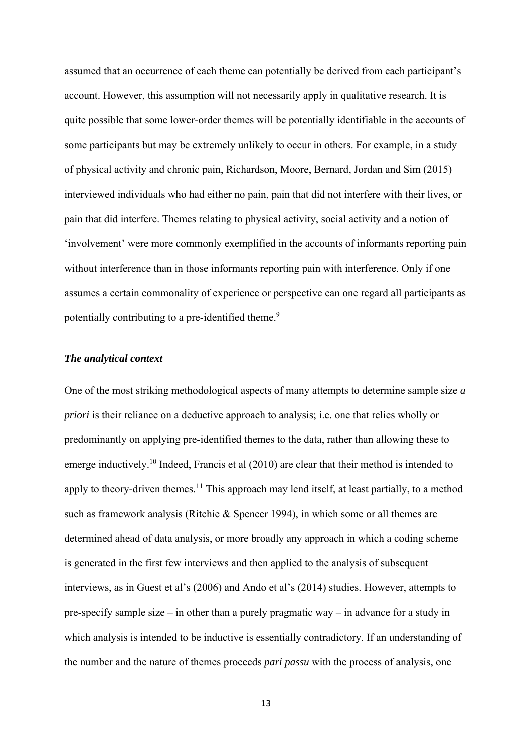assumed that an occurrence of each theme can potentially be derived from each participant's account. However, this assumption will not necessarily apply in qualitative research. It is quite possible that some lower-order themes will be potentially identifiable in the accounts of some participants but may be extremely unlikely to occur in others. For example, in a study of physical activity and chronic pain, Richardson, Moore, Bernard, Jordan and Sim (2015) interviewed individuals who had either no pain, pain that did not interfere with their lives, or pain that did interfere. Themes relating to physical activity, social activity and a notion of 'involvement' were more commonly exemplified in the accounts of informants reporting pain without interference than in those informants reporting pain with interference. Only if one assumes a certain commonality of experience or perspective can one regard all participants as potentially contributing to a pre-identified theme.<sup>9</sup>

#### *The analytical context*

One of the most striking methodological aspects of many attempts to determine sample size *a priori* is their reliance on a deductive approach to analysis; i.e. one that relies wholly or predominantly on applying pre-identified themes to the data, rather than allowing these to emerge inductively.<sup>10</sup> Indeed, Francis et al (2010) are clear that their method is intended to apply to theory-driven themes.<sup>11</sup> This approach may lend itself, at least partially, to a method such as framework analysis (Ritchie & Spencer 1994), in which some or all themes are determined ahead of data analysis, or more broadly any approach in which a coding scheme is generated in the first few interviews and then applied to the analysis of subsequent interviews, as in Guest et al's (2006) and Ando et al's (2014) studies. However, attempts to pre-specify sample size – in other than a purely pragmatic way – in advance for a study in which analysis is intended to be inductive is essentially contradictory. If an understanding of the number and the nature of themes proceeds *pari passu* with the process of analysis, one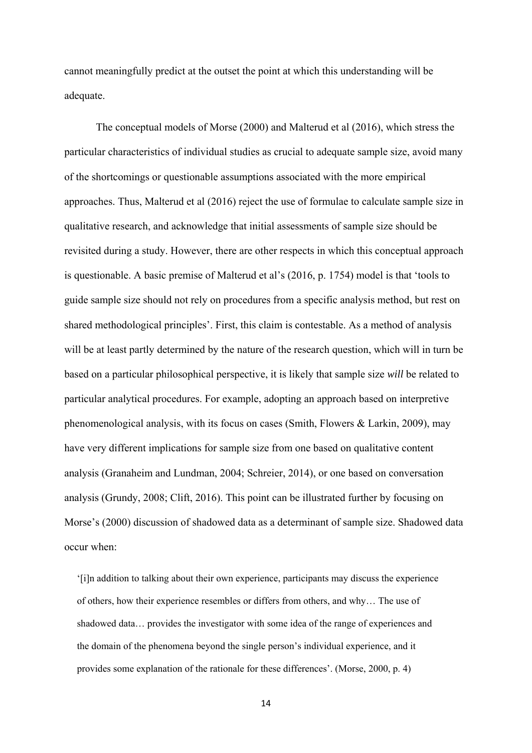cannot meaningfully predict at the outset the point at which this understanding will be adequate.

The conceptual models of Morse (2000) and Malterud et al (2016), which stress the particular characteristics of individual studies as crucial to adequate sample size, avoid many of the shortcomings or questionable assumptions associated with the more empirical approaches. Thus, Malterud et al (2016) reject the use of formulae to calculate sample size in qualitative research, and acknowledge that initial assessments of sample size should be revisited during a study. However, there are other respects in which this conceptual approach is questionable. A basic premise of Malterud et al's (2016, p. 1754) model is that 'tools to guide sample size should not rely on procedures from a specific analysis method, but rest on shared methodological principles'. First, this claim is contestable. As a method of analysis will be at least partly determined by the nature of the research question, which will in turn be based on a particular philosophical perspective, it is likely that sample size *will* be related to particular analytical procedures. For example, adopting an approach based on interpretive phenomenological analysis, with its focus on cases (Smith, Flowers & Larkin, 2009), may have very different implications for sample size from one based on qualitative content analysis (Granaheim and Lundman, 2004; Schreier, 2014), or one based on conversation analysis (Grundy, 2008; Clift, 2016). This point can be illustrated further by focusing on Morse's (2000) discussion of shadowed data as a determinant of sample size. Shadowed data occur when:

'[i]n addition to talking about their own experience, participants may discuss the experience of others, how their experience resembles or differs from others, and why… The use of shadowed data… provides the investigator with some idea of the range of experiences and the domain of the phenomena beyond the single person's individual experience, and it provides some explanation of the rationale for these differences'. (Morse, 2000, p. 4)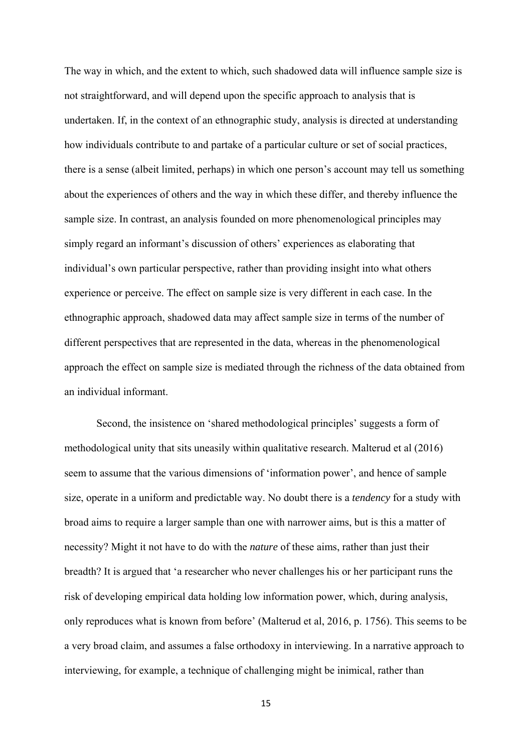The way in which, and the extent to which, such shadowed data will influence sample size is not straightforward, and will depend upon the specific approach to analysis that is undertaken. If, in the context of an ethnographic study, analysis is directed at understanding how individuals contribute to and partake of a particular culture or set of social practices, there is a sense (albeit limited, perhaps) in which one person's account may tell us something about the experiences of others and the way in which these differ, and thereby influence the sample size. In contrast, an analysis founded on more phenomenological principles may simply regard an informant's discussion of others' experiences as elaborating that individual's own particular perspective, rather than providing insight into what others experience or perceive. The effect on sample size is very different in each case. In the ethnographic approach, shadowed data may affect sample size in terms of the number of different perspectives that are represented in the data, whereas in the phenomenological approach the effect on sample size is mediated through the richness of the data obtained from an individual informant.

Second, the insistence on 'shared methodological principles' suggests a form of methodological unity that sits uneasily within qualitative research. Malterud et al (2016) seem to assume that the various dimensions of 'information power', and hence of sample size, operate in a uniform and predictable way. No doubt there is a *tendency* for a study with broad aims to require a larger sample than one with narrower aims, but is this a matter of necessity? Might it not have to do with the *nature* of these aims, rather than just their breadth? It is argued that 'a researcher who never challenges his or her participant runs the risk of developing empirical data holding low information power, which, during analysis, only reproduces what is known from before' (Malterud et al, 2016, p. 1756). This seems to be a very broad claim, and assumes a false orthodoxy in interviewing. In a narrative approach to interviewing, for example, a technique of challenging might be inimical, rather than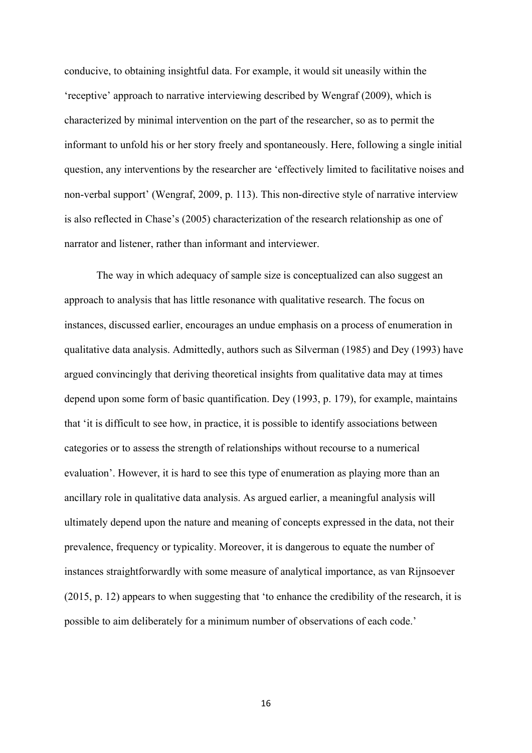conducive, to obtaining insightful data. For example, it would sit uneasily within the 'receptive' approach to narrative interviewing described by Wengraf (2009), which is characterized by minimal intervention on the part of the researcher, so as to permit the informant to unfold his or her story freely and spontaneously. Here, following a single initial question, any interventions by the researcher are 'effectively limited to facilitative noises and non-verbal support' (Wengraf, 2009, p. 113). This non-directive style of narrative interview is also reflected in Chase's (2005) characterization of the research relationship as one of narrator and listener, rather than informant and interviewer.

The way in which adequacy of sample size is conceptualized can also suggest an approach to analysis that has little resonance with qualitative research. The focus on instances, discussed earlier, encourages an undue emphasis on a process of enumeration in qualitative data analysis. Admittedly, authors such as Silverman (1985) and Dey (1993) have argued convincingly that deriving theoretical insights from qualitative data may at times depend upon some form of basic quantification. Dey (1993, p. 179), for example, maintains that 'it is difficult to see how, in practice, it is possible to identify associations between categories or to assess the strength of relationships without recourse to a numerical evaluation'. However, it is hard to see this type of enumeration as playing more than an ancillary role in qualitative data analysis. As argued earlier, a meaningful analysis will ultimately depend upon the nature and meaning of concepts expressed in the data, not their prevalence, frequency or typicality. Moreover, it is dangerous to equate the number of instances straightforwardly with some measure of analytical importance, as van Rijnsoever (2015, p. 12) appears to when suggesting that 'to enhance the credibility of the research, it is possible to aim deliberately for a minimum number of observations of each code.'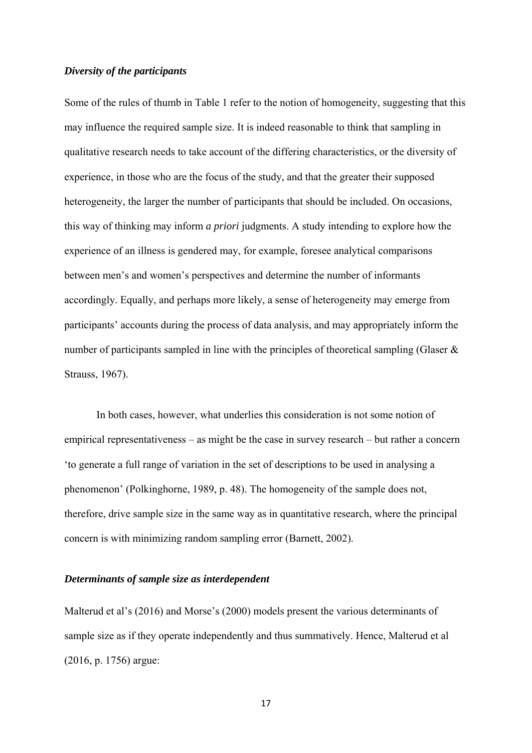#### *Diversity of the participants*

Some of the rules of thumb in Table 1 refer to the notion of homogeneity, suggesting that this may influence the required sample size. It is indeed reasonable to think that sampling in qualitative research needs to take account of the differing characteristics, or the diversity of experience, in those who are the focus of the study, and that the greater their supposed heterogeneity, the larger the number of participants that should be included. On occasions, this way of thinking may inform *a priori* judgments. A study intending to explore how the experience of an illness is gendered may, for example, foresee analytical comparisons between men's and women's perspectives and determine the number of informants accordingly. Equally, and perhaps more likely, a sense of heterogeneity may emerge from participants' accounts during the process of data analysis, and may appropriately inform the number of participants sampled in line with the principles of theoretical sampling (Glaser & Strauss, 1967).

In both cases, however, what underlies this consideration is not some notion of empirical representativeness – as might be the case in survey research – but rather a concern 'to generate a full range of variation in the set of descriptions to be used in analysing a phenomenon' (Polkinghorne, 1989, p. 48). The homogeneity of the sample does not, therefore, drive sample size in the same way as in quantitative research, where the principal concern is with minimizing random sampling error (Barnett, 2002).

#### *Determinants of sample size as interdependent*

Malterud et al's (2016) and Morse's (2000) models present the various determinants of sample size as if they operate independently and thus summatively. Hence, Malterud et al (2016, p. 1756) argue: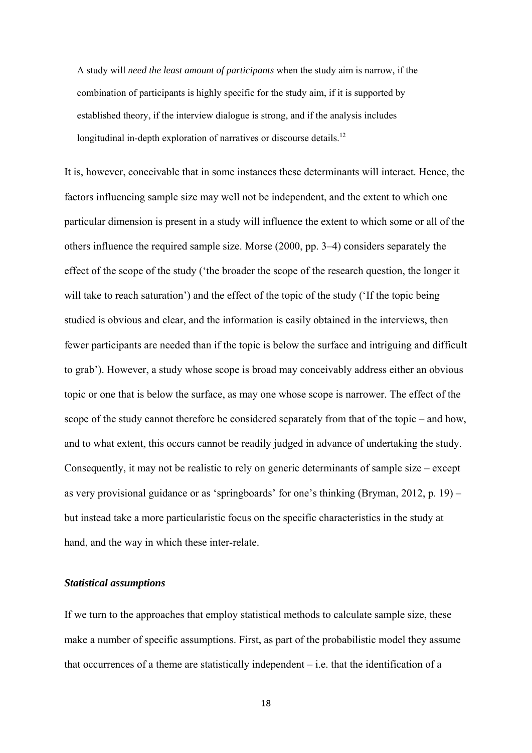A study will *need the least amount of participants* when the study aim is narrow, if the combination of participants is highly specific for the study aim, if it is supported by established theory, if the interview dialogue is strong, and if the analysis includes longitudinal in-depth exploration of narratives or discourse details.<sup>12</sup>

It is, however, conceivable that in some instances these determinants will interact. Hence, the factors influencing sample size may well not be independent, and the extent to which one particular dimension is present in a study will influence the extent to which some or all of the others influence the required sample size. Morse (2000, pp. 3–4) considers separately the effect of the scope of the study ('the broader the scope of the research question, the longer it will take to reach saturation') and the effect of the topic of the study ('If the topic being studied is obvious and clear, and the information is easily obtained in the interviews, then fewer participants are needed than if the topic is below the surface and intriguing and difficult to grab'). However, a study whose scope is broad may conceivably address either an obvious topic or one that is below the surface, as may one whose scope is narrower. The effect of the scope of the study cannot therefore be considered separately from that of the topic – and how, and to what extent, this occurs cannot be readily judged in advance of undertaking the study. Consequently, it may not be realistic to rely on generic determinants of sample size – except as very provisional guidance or as 'springboards' for one's thinking (Bryman, 2012, p. 19) – but instead take a more particularistic focus on the specific characteristics in the study at hand, and the way in which these inter-relate.

## *Statistical assumptions*

If we turn to the approaches that employ statistical methods to calculate sample size, these make a number of specific assumptions. First, as part of the probabilistic model they assume that occurrences of a theme are statistically independent  $-$  i.e. that the identification of a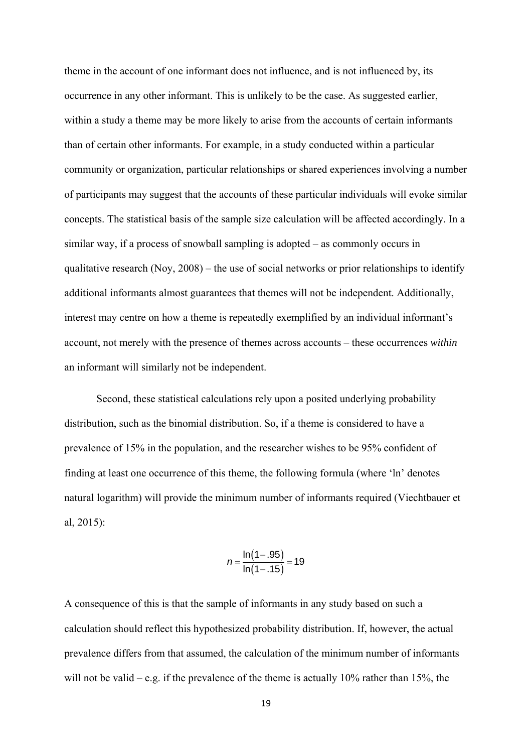theme in the account of one informant does not influence, and is not influenced by, its occurrence in any other informant. This is unlikely to be the case. As suggested earlier, within a study a theme may be more likely to arise from the accounts of certain informants than of certain other informants. For example, in a study conducted within a particular community or organization, particular relationships or shared experiences involving a number of participants may suggest that the accounts of these particular individuals will evoke similar concepts. The statistical basis of the sample size calculation will be affected accordingly. In a similar way, if a process of snowball sampling is adopted – as commonly occurs in qualitative research (Noy, 2008) – the use of social networks or prior relationships to identify additional informants almost guarantees that themes will not be independent. Additionally, interest may centre on how a theme is repeatedly exemplified by an individual informant's account, not merely with the presence of themes across accounts – these occurrences *within* an informant will similarly not be independent.

Second, these statistical calculations rely upon a posited underlying probability distribution, such as the binomial distribution. So, if a theme is considered to have a prevalence of 15% in the population, and the researcher wishes to be 95% confident of finding at least one occurrence of this theme, the following formula (where 'ln' denotes natural logarithm) will provide the minimum number of informants required (Viechtbauer et al, 2015):

$$
n = \frac{\ln(1-.95)}{\ln(1-.15)} = 19
$$

A consequence of this is that the sample of informants in any study based on such a calculation should reflect this hypothesized probability distribution. If, however, the actual prevalence differs from that assumed, the calculation of the minimum number of informants will not be valid – e.g. if the prevalence of the theme is actually 10% rather than 15%, the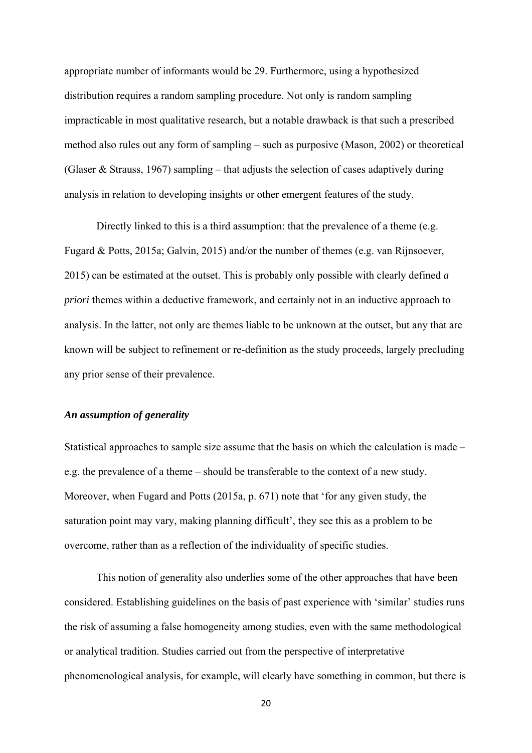appropriate number of informants would be 29. Furthermore, using a hypothesized distribution requires a random sampling procedure. Not only is random sampling impracticable in most qualitative research, but a notable drawback is that such a prescribed method also rules out any form of sampling – such as purposive (Mason, 2002) or theoretical (Glaser & Strauss, 1967) sampling – that adjusts the selection of cases adaptively during analysis in relation to developing insights or other emergent features of the study.

Directly linked to this is a third assumption: that the prevalence of a theme (e.g. Fugard & Potts, 2015a; Galvin, 2015) and/or the number of themes (e.g. van Rijnsoever, 2015) can be estimated at the outset. This is probably only possible with clearly defined *a priori* themes within a deductive framework, and certainly not in an inductive approach to analysis. In the latter, not only are themes liable to be unknown at the outset, but any that are known will be subject to refinement or re-definition as the study proceeds, largely precluding any prior sense of their prevalence.

#### *An assumption of generality*

Statistical approaches to sample size assume that the basis on which the calculation is made – e.g. the prevalence of a theme – should be transferable to the context of a new study. Moreover, when Fugard and Potts (2015a, p. 671) note that 'for any given study, the saturation point may vary, making planning difficult', they see this as a problem to be overcome, rather than as a reflection of the individuality of specific studies.

This notion of generality also underlies some of the other approaches that have been considered. Establishing guidelines on the basis of past experience with 'similar' studies runs the risk of assuming a false homogeneity among studies, even with the same methodological or analytical tradition. Studies carried out from the perspective of interpretative phenomenological analysis, for example, will clearly have something in common, but there is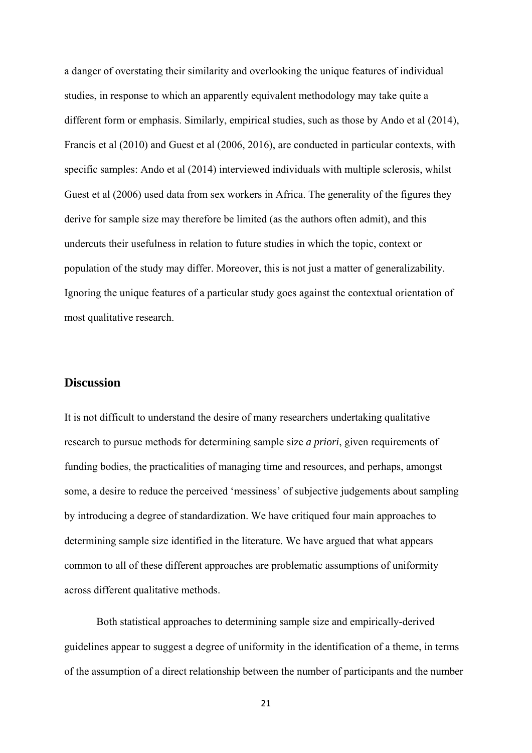a danger of overstating their similarity and overlooking the unique features of individual studies, in response to which an apparently equivalent methodology may take quite a different form or emphasis. Similarly, empirical studies, such as those by Ando et al (2014), Francis et al (2010) and Guest et al (2006, 2016), are conducted in particular contexts, with specific samples: Ando et al (2014) interviewed individuals with multiple sclerosis, whilst Guest et al (2006) used data from sex workers in Africa. The generality of the figures they derive for sample size may therefore be limited (as the authors often admit), and this undercuts their usefulness in relation to future studies in which the topic, context or population of the study may differ. Moreover, this is not just a matter of generalizability. Ignoring the unique features of a particular study goes against the contextual orientation of most qualitative research.

# **Discussion**

It is not difficult to understand the desire of many researchers undertaking qualitative research to pursue methods for determining sample size *a priori*, given requirements of funding bodies, the practicalities of managing time and resources, and perhaps, amongst some, a desire to reduce the perceived 'messiness' of subjective judgements about sampling by introducing a degree of standardization. We have critiqued four main approaches to determining sample size identified in the literature. We have argued that what appears common to all of these different approaches are problematic assumptions of uniformity across different qualitative methods.

Both statistical approaches to determining sample size and empirically-derived guidelines appear to suggest a degree of uniformity in the identification of a theme, in terms of the assumption of a direct relationship between the number of participants and the number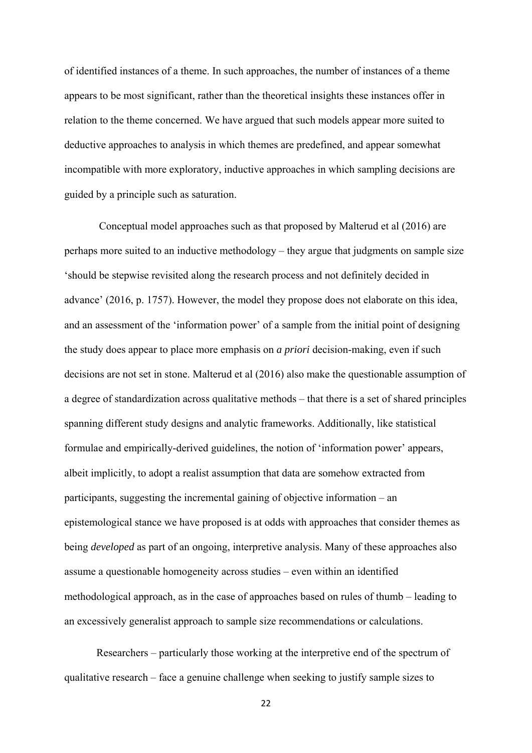of identified instances of a theme. In such approaches, the number of instances of a theme appears to be most significant, rather than the theoretical insights these instances offer in relation to the theme concerned. We have argued that such models appear more suited to deductive approaches to analysis in which themes are predefined, and appear somewhat incompatible with more exploratory, inductive approaches in which sampling decisions are guided by a principle such as saturation.

 Conceptual model approaches such as that proposed by Malterud et al (2016) are perhaps more suited to an inductive methodology – they argue that judgments on sample size 'should be stepwise revisited along the research process and not definitely decided in advance' (2016, p. 1757). However, the model they propose does not elaborate on this idea, and an assessment of the 'information power' of a sample from the initial point of designing the study does appear to place more emphasis on *a priori* decision-making, even if such decisions are not set in stone. Malterud et al (2016) also make the questionable assumption of a degree of standardization across qualitative methods – that there is a set of shared principles spanning different study designs and analytic frameworks. Additionally, like statistical formulae and empirically-derived guidelines, the notion of 'information power' appears, albeit implicitly, to adopt a realist assumption that data are somehow extracted from participants, suggesting the incremental gaining of objective information – an epistemological stance we have proposed is at odds with approaches that consider themes as being *developed* as part of an ongoing, interpretive analysis. Many of these approaches also assume a questionable homogeneity across studies – even within an identified methodological approach, as in the case of approaches based on rules of thumb – leading to an excessively generalist approach to sample size recommendations or calculations.

Researchers – particularly those working at the interpretive end of the spectrum of qualitative research – face a genuine challenge when seeking to justify sample sizes to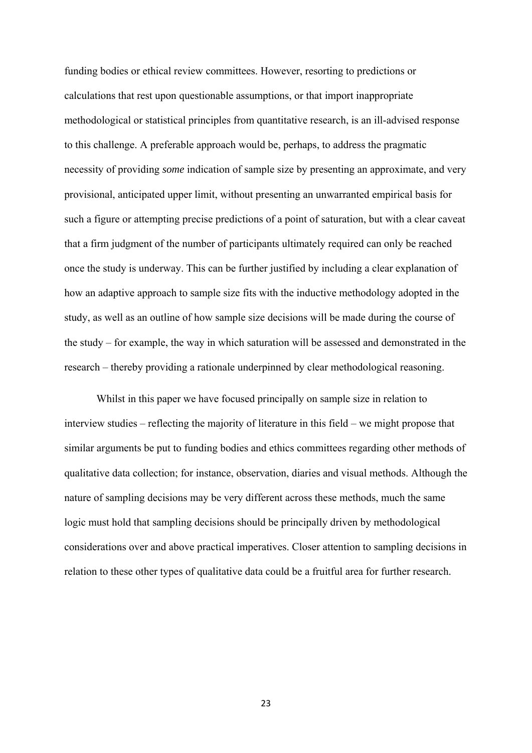funding bodies or ethical review committees. However, resorting to predictions or calculations that rest upon questionable assumptions, or that import inappropriate methodological or statistical principles from quantitative research, is an ill-advised response to this challenge. A preferable approach would be, perhaps, to address the pragmatic necessity of providing *some* indication of sample size by presenting an approximate, and very provisional, anticipated upper limit, without presenting an unwarranted empirical basis for such a figure or attempting precise predictions of a point of saturation, but with a clear caveat that a firm judgment of the number of participants ultimately required can only be reached once the study is underway. This can be further justified by including a clear explanation of how an adaptive approach to sample size fits with the inductive methodology adopted in the study, as well as an outline of how sample size decisions will be made during the course of the study – for example, the way in which saturation will be assessed and demonstrated in the research – thereby providing a rationale underpinned by clear methodological reasoning.

Whilst in this paper we have focused principally on sample size in relation to interview studies – reflecting the majority of literature in this field – we might propose that similar arguments be put to funding bodies and ethics committees regarding other methods of qualitative data collection; for instance, observation, diaries and visual methods. Although the nature of sampling decisions may be very different across these methods, much the same logic must hold that sampling decisions should be principally driven by methodological considerations over and above practical imperatives. Closer attention to sampling decisions in relation to these other types of qualitative data could be a fruitful area for further research.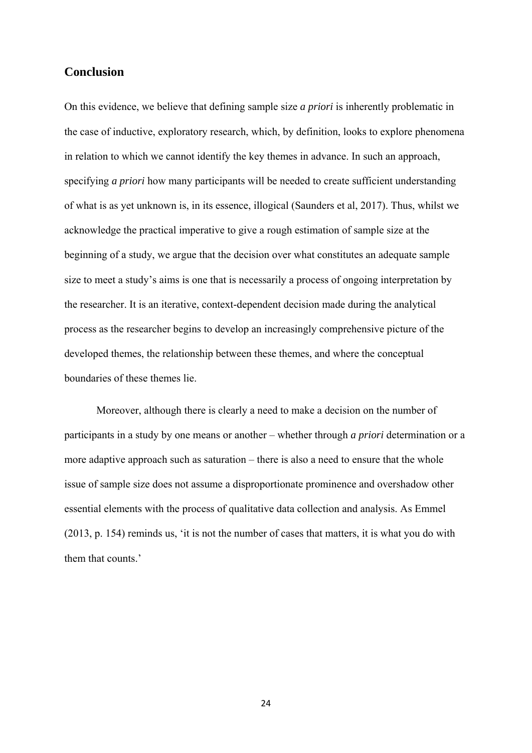# **Conclusion**

On this evidence, we believe that defining sample size *a priori* is inherently problematic in the case of inductive, exploratory research, which, by definition, looks to explore phenomena in relation to which we cannot identify the key themes in advance. In such an approach, specifying *a priori* how many participants will be needed to create sufficient understanding of what is as yet unknown is, in its essence, illogical (Saunders et al, 2017). Thus, whilst we acknowledge the practical imperative to give a rough estimation of sample size at the beginning of a study, we argue that the decision over what constitutes an adequate sample size to meet a study's aims is one that is necessarily a process of ongoing interpretation by the researcher. It is an iterative, context-dependent decision made during the analytical process as the researcher begins to develop an increasingly comprehensive picture of the developed themes, the relationship between these themes, and where the conceptual boundaries of these themes lie.

Moreover, although there is clearly a need to make a decision on the number of participants in a study by one means or another – whether through *a priori* determination or a more adaptive approach such as saturation – there is also a need to ensure that the whole issue of sample size does not assume a disproportionate prominence and overshadow other essential elements with the process of qualitative data collection and analysis. As Emmel (2013, p. 154) reminds us, 'it is not the number of cases that matters, it is what you do with them that counts.'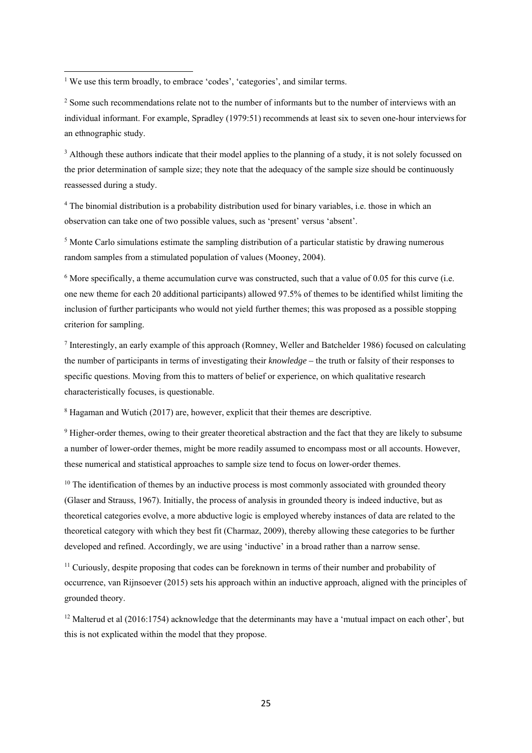<sup>1</sup> We use this term broadly, to embrace 'codes', 'categories', and similar terms.

<sup>2</sup> Some such recommendations relate not to the number of informants but to the number of interviews with an individual informant. For example, Spradley (1979:51) recommends at least six to seven one-hour interviewsfor an ethnographic study.

<sup>3</sup> Although these authors indicate that their model applies to the planning of a study, it is not solely focussed on the prior determination of sample size; they note that the adequacy of the sample size should be continuously reassessed during a study.

<sup>4</sup> The binomial distribution is a probability distribution used for binary variables, i.e. those in which an observation can take one of two possible values, such as 'present' versus 'absent'.

<sup>5</sup> Monte Carlo simulations estimate the sampling distribution of a particular statistic by drawing numerous random samples from a stimulated population of values (Mooney, 2004).

<sup>6</sup> More specifically, a theme accumulation curve was constructed, such that a value of 0.05 for this curve (i.e. one new theme for each 20 additional participants) allowed 97.5% of themes to be identified whilst limiting the inclusion of further participants who would not yield further themes; this was proposed as a possible stopping criterion for sampling.

<sup>7</sup> Interestingly, an early example of this approach (Romney, Weller and Batchelder 1986) focused on calculating the number of participants in terms of investigating their *knowledge –* the truth or falsity of their responses to specific questions. Moving from this to matters of belief or experience, on which qualitative research characteristically focuses, is questionable.

<sup>8</sup> Hagaman and Wutich (2017) are, however, explicit that their themes are descriptive.

<sup>9</sup> Higher-order themes, owing to their greater theoretical abstraction and the fact that they are likely to subsume a number of lower-order themes, might be more readily assumed to encompass most or all accounts. However, these numerical and statistical approaches to sample size tend to focus on lower-order themes.

 $10$  The identification of themes by an inductive process is most commonly associated with grounded theory (Glaser and Strauss, 1967). Initially, the process of analysis in grounded theory is indeed inductive, but as theoretical categories evolve, a more abductive logic is employed whereby instances of data are related to the theoretical category with which they best fit (Charmaz, 2009), thereby allowing these categories to be further developed and refined. Accordingly, we are using 'inductive' in a broad rather than a narrow sense.

<sup>11</sup> Curiously, despite proposing that codes can be foreknown in terms of their number and probability of occurrence, van Rijnsoever (2015) sets his approach within an inductive approach, aligned with the principles of grounded theory.

<sup>12</sup> Malterud et al (2016:1754) acknowledge that the determinants may have a 'mutual impact on each other', but this is not explicated within the model that they propose.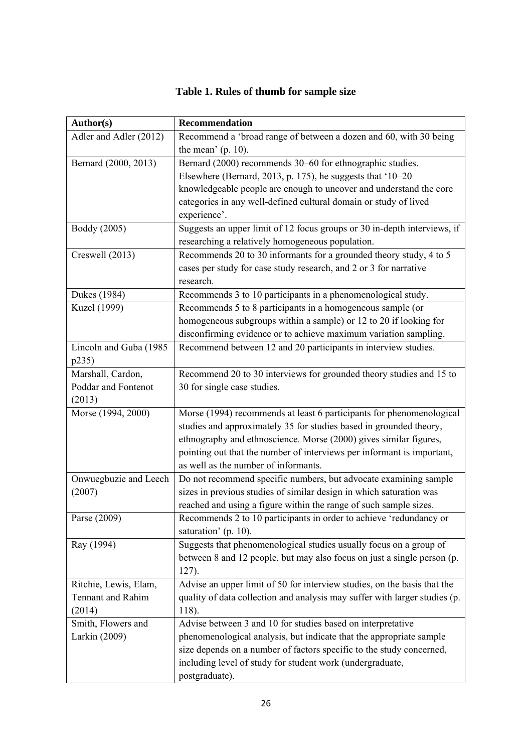#### **Author(s) Recommendation**  Adler and Adler (2012) Recommend a 'broad range of between a dozen and 60, with 30 being the mean' (p. 10). Bernard  $(2000, 2013)$  Bernard  $(2000)$  recommends 30–60 for ethnographic studies. Elsewhere (Bernard, 2013, p. 175), he suggests that '10–20 knowledgeable people are enough to uncover and understand the core categories in any well-defined cultural domain or study of lived experience'. Boddy (2005) Suggests an upper limit of 12 focus groups or 30 in-depth interviews, if researching a relatively homogeneous population. Creswell (2013) Recommends 20 to 30 informants for a grounded theory study, 4 to 5 cases per study for case study research, and 2 or 3 for narrative research. Dukes (1984) Recommends 3 to 10 participants in a phenomenological study. Kuzel (1999) Recommends 5 to 8 participants in a homogeneous sample (or homogeneous subgroups within a sample) or 12 to 20 if looking for disconfirming evidence or to achieve maximum variation sampling. Lincoln and Guba (1985 p235) Recommend between 12 and 20 participants in interview studies. Marshall, Cardon Poddar and Fontenot (2013) Recommend 20 to 30 interviews for grounded theory studies and 15 to 30 for single case studies. Morse (1994, 2000) Morse (1994) recommends at least 6 participants for phenomenological studies and approximately 35 for studies based in grounded theory, ethnography and ethnoscience. Morse (2000) gives similar figures, pointing out that the number of interviews per informant is important, as well as the number of informants. Onwuegbuzie and Leech (2007) Do not recommend specific numbers, but advocate examining sample sizes in previous studies of similar design in which saturation was reached and using a figure within the range of such sample sizes. Parse (2009) Recommends 2 to 10 participants in order to achieve 'redundancy or saturation' (p. 10). Ray (1994) Suggests that phenomenological studies usually focus on a group of between 8 and 12 people, but may also focus on just a single person (p. 127). Ritchie, Lewis, Elam, Tennant and Rahim (2014) Advise an upper limit of 50 for interview studies, on the basis that the quality of data collection and analysis may suffer with larger studies (p. 118). Smith, Flowers and Larkin (2009) Advise between 3 and 10 for studies based on interpretative phenomenological analysis, but indicate that the appropriate sample size depends on a number of factors specific to the study concerned, including level of study for student work (undergraduate,

## **Table 1. Rules of thumb for sample size**

postgraduate).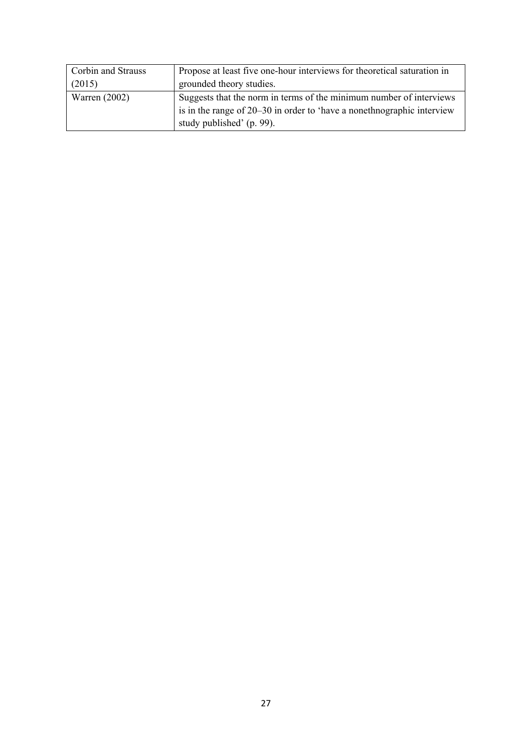| Corbin and Strauss | Propose at least five one-hour interviews for theoretical saturation in |
|--------------------|-------------------------------------------------------------------------|
| (2015)             | grounded theory studies.                                                |
| Warren $(2002)$    | Suggests that the norm in terms of the minimum number of interviews     |
|                    | is in the range of 20–30 in order to 'have a nonethnographic interview  |
|                    | study published' (p. 99).                                               |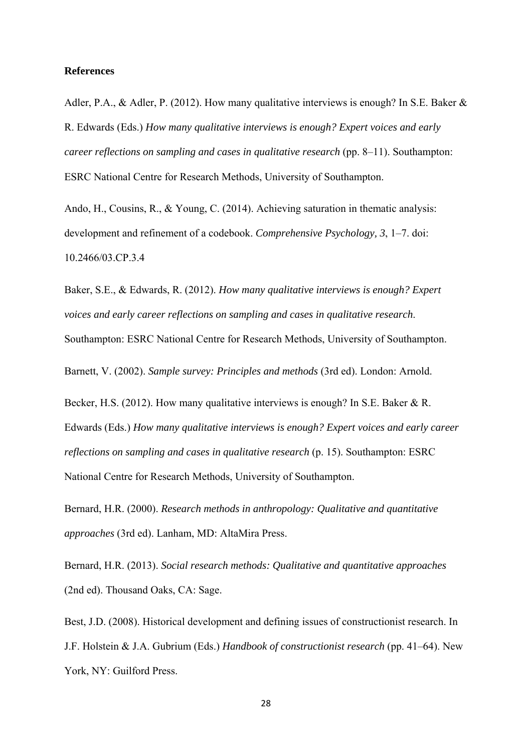#### **References**

Adler, P.A., & Adler, P. (2012). How many qualitative interviews is enough? In S.E. Baker & R. Edwards (Eds.) *How many qualitative interviews is enough? Expert voices and early career reflections on sampling and cases in qualitative research* (pp. 8–11). Southampton: ESRC National Centre for Research Methods, University of Southampton.

Ando, H., Cousins, R., & Young, C. (2014). Achieving saturation in thematic analysis: development and refinement of a codebook. *Comprehensive Psychology, 3*, 1–7. doi: 10.2466/03.CP.3.4

Baker, S.E., & Edwards, R. (2012). *How many qualitative interviews is enough? Expert voices and early career reflections on sampling and cases in qualitative research*. Southampton: ESRC National Centre for Research Methods, University of Southampton.

Barnett, V. (2002). *Sample survey: Principles and methods* (3rd ed). London: Arnold.

Becker, H.S. (2012). How many qualitative interviews is enough? In S.E. Baker & R. Edwards (Eds.) *How many qualitative interviews is enough? Expert voices and early career reflections on sampling and cases in qualitative research* (p. 15). Southampton: ESRC National Centre for Research Methods, University of Southampton.

Bernard, H.R. (2000). *Research methods in anthropology: Qualitative and quantitative approaches* (3rd ed). Lanham, MD: AltaMira Press.

Bernard, H.R. (2013). *Social research methods: Qualitative and quantitative approaches*  (2nd ed). Thousand Oaks, CA: Sage.

Best, J.D. (2008). Historical development and defining issues of constructionist research. In J.F. Holstein & J.A. Gubrium (Eds.) *Handbook of constructionist research* (pp. 41–64). New York, NY: Guilford Press.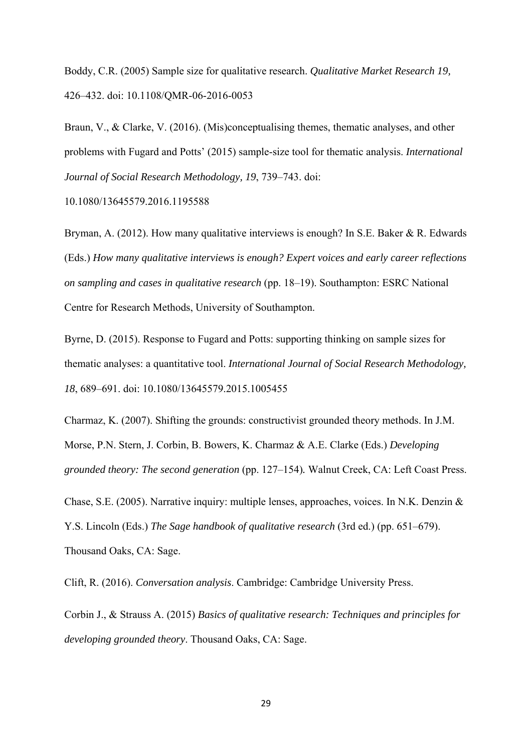Boddy, C.R. (2005) Sample size for qualitative research. *Qualitative Market Research 19,* 426–432. doi: 10.1108/QMR-06-2016-0053

Braun, V., & Clarke, V. (2016). (Mis)conceptualising themes, thematic analyses, and other problems with Fugard and Potts' (2015) sample-size tool for thematic analysis. *International Journal of Social Research Methodology, 19*, 739–743. doi:

10.1080/13645579.2016.1195588

Bryman, A. (2012). How many qualitative interviews is enough? In S.E. Baker & R. Edwards (Eds.) *How many qualitative interviews is enough? Expert voices and early career reflections on sampling and cases in qualitative research* (pp. 18–19). Southampton: ESRC National Centre for Research Methods, University of Southampton.

Byrne, D. (2015). Response to Fugard and Potts: supporting thinking on sample sizes for thematic analyses: a quantitative tool. *International Journal of Social Research Methodology, 18*, 689–691. doi: 10.1080/13645579.2015.1005455

Charmaz, K. (2007). Shifting the grounds: constructivist grounded theory methods. In J.M. Morse, P.N. Stern, J. Corbin, B. Bowers, K. Charmaz & A.E. Clarke (Eds.) *Developing grounded theory: The second generation* (pp. 127–154)*.* Walnut Creek, CA: Left Coast Press.

Chase, S.E. (2005). Narrative inquiry: multiple lenses, approaches, voices. In N.K. Denzin & Y.S. Lincoln (Eds.) *The Sage handbook of qualitative research* (3rd ed.) (pp. 651–679). Thousand Oaks, CA: Sage.

Clift, R. (2016). *Conversation analysis*. Cambridge: Cambridge University Press.

Corbin J., & Strauss A. (2015) *Basics of qualitative research: Techniques and principles for developing grounded theory*. Thousand Oaks, CA: Sage.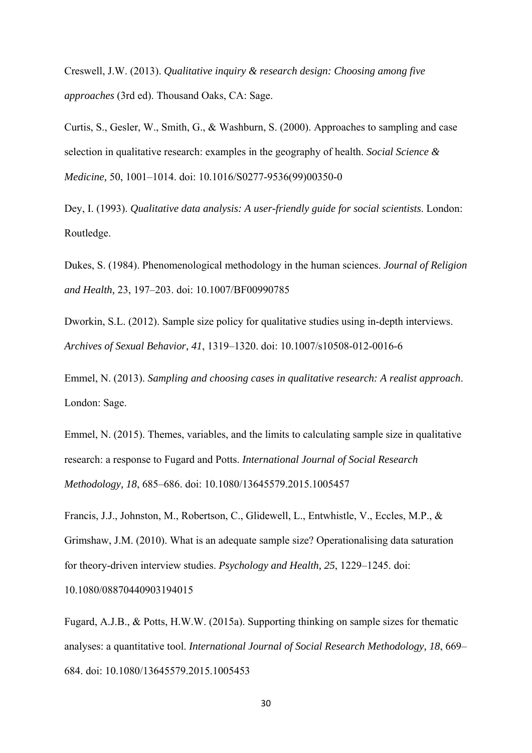Creswell, J.W. (2013). *Qualitative inquiry & research design: Choosing among five approaches* (3rd ed). Thousand Oaks, CA: Sage.

Curtis, S., Gesler, W., Smith, G., & Washburn, S. (2000). Approaches to sampling and case selection in qualitative research: examples in the geography of health. *Social Science & Medicine,* 50, 1001–1014. doi: 10.1016/S0277-9536(99)00350-0

Dey, I. (1993). *Qualitative data analysis: A user-friendly guide for social scientists*. London: Routledge.

Dukes, S. (1984). Phenomenological methodology in the human sciences. *Journal of Religion and Health,* 23, 197–203. doi: 10.1007/BF00990785

Dworkin, S.L. (2012). Sample size policy for qualitative studies using in-depth interviews. *Archives of Sexual Behavior, 41*, 1319–1320. doi: 10.1007/s10508-012-0016-6

Emmel, N. (2013). *Sampling and choosing cases in qualitative research: A realist approach*. London: Sage.

Emmel, N. (2015). Themes, variables, and the limits to calculating sample size in qualitative research: a response to Fugard and Potts. *International Journal of Social Research Methodology, 18*, 685–686. doi: 10.1080/13645579.2015.1005457

Francis, J.J., Johnston, M., Robertson, C., Glidewell, L., Entwhistle, V., Eccles, M.P., & Grimshaw, J.M. (2010). What is an adequate sample size? Operationalising data saturation for theory-driven interview studies. *Psychology and Health, 25*, 1229–1245. doi:

10.1080/08870440903194015

Fugard, A.J.B., & Potts, H.W.W. (2015a). Supporting thinking on sample sizes for thematic analyses: a quantitative tool. *International Journal of Social Research Methodology, 18*, 669– 684. doi: 10.1080/13645579.2015.1005453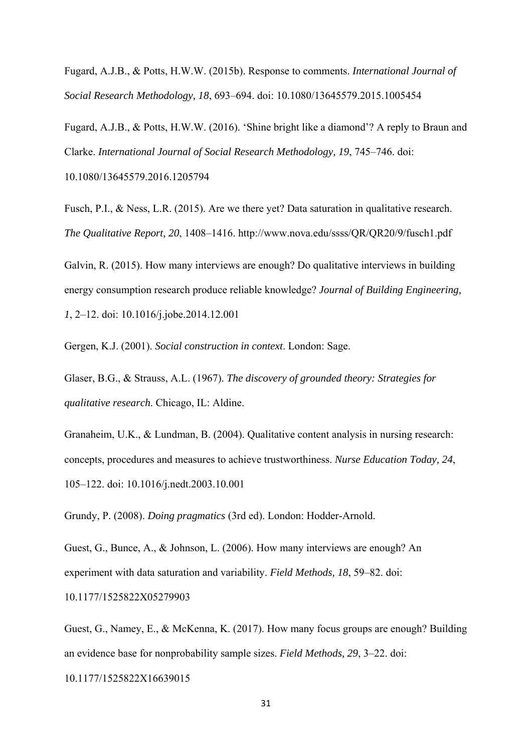Fugard, A.J.B., & Potts, H.W.W. (2015b). Response to comments. *International Journal of Social Research Methodology, 18*, 693–694. doi: 10.1080/13645579.2015.1005454

Fugard, A.J.B., & Potts, H.W.W. (2016). 'Shine bright like a diamond'? A reply to Braun and Clarke. *International Journal of Social Research Methodology, 19*, 745–746. doi: 10.1080/13645579.2016.1205794

Fusch, P.I., & Ness, L.R. (2015). Are we there yet? Data saturation in qualitative research. *The Qualitative Report, 20*, 1408–1416. http://www.nova.edu/ssss/QR/QR20/9/fusch1.pdf

Galvin, R. (2015). How many interviews are enough? Do qualitative interviews in building energy consumption research produce reliable knowledge? *Journal of Building Engineering, 1*, 2–12. doi: 10.1016/j.jobe.2014.12.001

Gergen, K.J. (2001). *Social construction in context*. London: Sage.

Glaser, B.G., & Strauss, A.L. (1967). *The discovery of grounded theory: Strategies for qualitative research*. Chicago, IL: Aldine.

Granaheim, U.K., & Lundman, B. (2004). Qualitative content analysis in nursing research: concepts, procedures and measures to achieve trustworthiness. *Nurse Education Today, 24*, 105–122. doi: 10.1016/j.nedt.2003.10.001

Grundy, P. (2008). *Doing pragmatics* (3rd ed). London: Hodder-Arnold.

Guest, G., Bunce, A., & Johnson, L. (2006). How many interviews are enough? An experiment with data saturation and variability. *Field Methods, 18*, 59–82. doi: 10.1177/1525822X05279903

Guest, G., Namey, E., & McKenna, K. (2017). How many focus groups are enough? Building an evidence base for nonprobability sample sizes. *Field Methods, 29*, 3–22. doi:

10.1177/1525822X16639015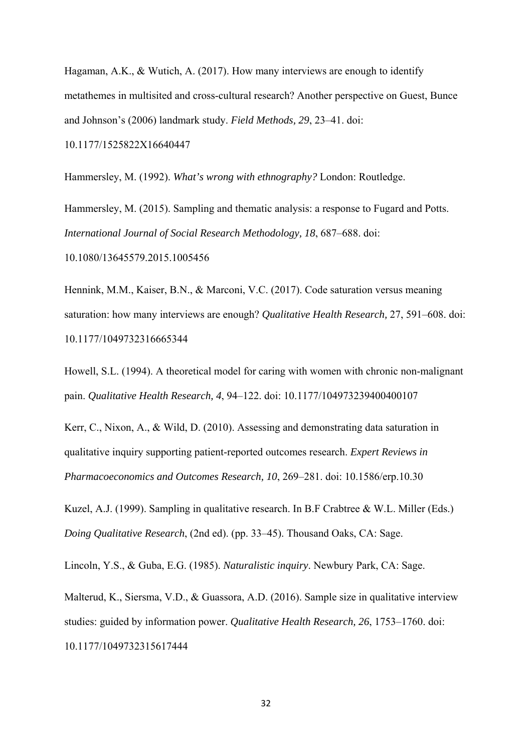Hagaman, A.K., & Wutich, A. (2017). How many interviews are enough to identify metathemes in multisited and cross-cultural research? Another perspective on Guest, Bunce and Johnson's (2006) landmark study. *Field Methods, 29*, 23–41. doi: 10.1177/1525822X16640447

Hammersley, M. (1992). *What's wrong with ethnography?* London: Routledge.

Hammersley, M. (2015). Sampling and thematic analysis: a response to Fugard and Potts. *International Journal of Social Research Methodology, 18*, 687–688. doi: 10.1080/13645579.2015.1005456

Hennink, M.M., Kaiser, B.N., & Marconi, V.C. (2017). Code saturation versus meaning saturation: how many interviews are enough? *Qualitative Health Research,* 27, 591–608. doi: 10.1177/1049732316665344

Howell, S.L. (1994). A theoretical model for caring with women with chronic non-malignant pain. *Qualitative Health Research, 4*, 94–122. doi: 10.1177/104973239400400107

Kerr, C., Nixon, A., & Wild, D. (2010). Assessing and demonstrating data saturation in qualitative inquiry supporting patient-reported outcomes research. *Expert Reviews in Pharmacoeconomics and Outcomes Research, 10*, 269–281. doi: 10.1586/erp.10.30

Kuzel, A.J. (1999). Sampling in qualitative research. In B.F Crabtree & W.L. Miller (Eds.) *Doing Qualitative Research*, (2nd ed). (pp. 33–45). Thousand Oaks, CA: Sage.

Lincoln, Y.S., & Guba, E.G. (1985). *Naturalistic inquiry*. Newbury Park, CA: Sage.

Malterud, K., Siersma, V.D., & Guassora, A.D. (2016). Sample size in qualitative interview studies: guided by information power. *Qualitative Health Research, 26*, 1753–1760. doi: 10.1177/1049732315617444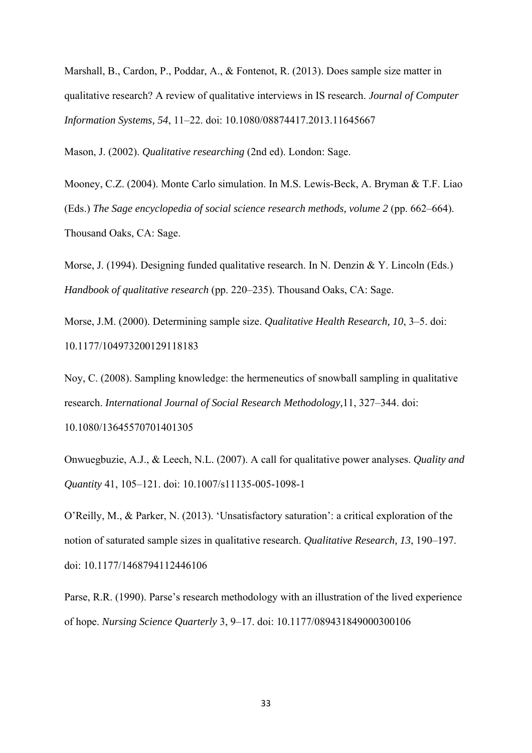Marshall, B., Cardon, P., Poddar, A., & Fontenot, R. (2013). Does sample size matter in qualitative research? A review of qualitative interviews in IS research. *Journal of Computer Information Systems, 54*, 11–22. doi: 10.1080/08874417.2013.11645667

Mason, J. (2002). *Qualitative researching* (2nd ed). London: Sage.

Mooney, C.Z. (2004). Monte Carlo simulation. In M.S. Lewis-Beck, A. Bryman & T.F. Liao (Eds.) *The Sage encyclopedia of social science research methods, volume 2* (pp. 662–664). Thousand Oaks, CA: Sage.

Morse, J. (1994). Designing funded qualitative research. In N. Denzin & Y. Lincoln (Eds.) *Handbook of qualitative research* (pp. 220–235). Thousand Oaks, CA: Sage.

Morse, J.M. (2000). Determining sample size. *Qualitative Health Research, 10*, 3–5. doi: 10.1177/104973200129118183

Noy, C. (2008). Sampling knowledge: the hermeneutics of snowball sampling in qualitative research. *International Journal of Social Research Methodology,*11, 327–344. doi: 10.1080/13645570701401305

Onwuegbuzie, A.J., & Leech, N.L. (2007). A call for qualitative power analyses. *Quality and Quantity* 41, 105–121. doi: 10.1007/s11135-005-1098-1

O'Reilly, M., & Parker, N. (2013). 'Unsatisfactory saturation': a critical exploration of the notion of saturated sample sizes in qualitative research. *Qualitative Research, 13*, 190–197. doi: 10.1177/1468794112446106

Parse, R.R. (1990). Parse's research methodology with an illustration of the lived experience of hope. *Nursing Science Quarterly* 3, 9–17. doi: 10.1177/089431849000300106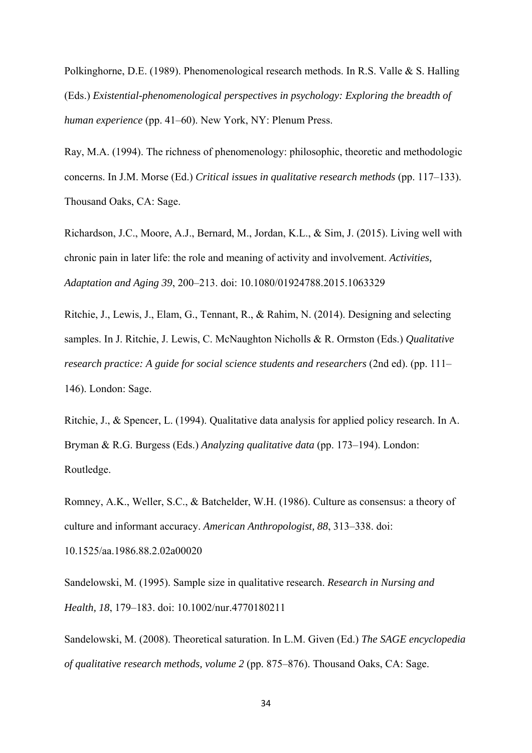Polkinghorne, D.E. (1989). Phenomenological research methods. In R.S. Valle & S. Halling (Eds.) *Existential-phenomenological perspectives in psychology: Exploring the breadth of human experience* (pp. 41–60). New York, NY: Plenum Press.

Ray, M.A. (1994). The richness of phenomenology: philosophic, theoretic and methodologic concerns. In J.M. Morse (Ed.) *Critical issues in qualitative research methods* (pp. 117–133). Thousand Oaks, CA: Sage.

Richardson, J.C., Moore, A.J., Bernard, M., Jordan, K.L., & Sim, J. (2015). Living well with chronic pain in later life: the role and meaning of activity and involvement. *Activities, Adaptation and Aging 39*, 200–213. doi: 10.1080/01924788.2015.1063329

Ritchie, J., Lewis, J., Elam, G., Tennant, R., & Rahim, N. (2014). Designing and selecting samples. In J. Ritchie, J. Lewis, C. McNaughton Nicholls & R. Ormston (Eds.) *Qualitative research practice: A guide for social science students and researchers* (2nd ed). (pp. 111– 146). London: Sage.

Ritchie, J., & Spencer, L. (1994). Qualitative data analysis for applied policy research. In A. Bryman & R.G. Burgess (Eds.) *Analyzing qualitative data* (pp. 173–194). London: Routledge.

Romney, A.K., Weller, S.C., & Batchelder, W.H. (1986). Culture as consensus: a theory of culture and informant accuracy. *American Anthropologist, 88*, 313–338. doi:

10.1525/aa.1986.88.2.02a00020

Sandelowski, M. (1995). Sample size in qualitative research. *Research in Nursing and Health, 18*, 179–183. doi: 10.1002/nur.4770180211

Sandelowski, M. (2008). Theoretical saturation. In L.M. Given (Ed.) *The SAGE encyclopedia of qualitative research methods, volume 2* (pp. 875–876). Thousand Oaks, CA: Sage.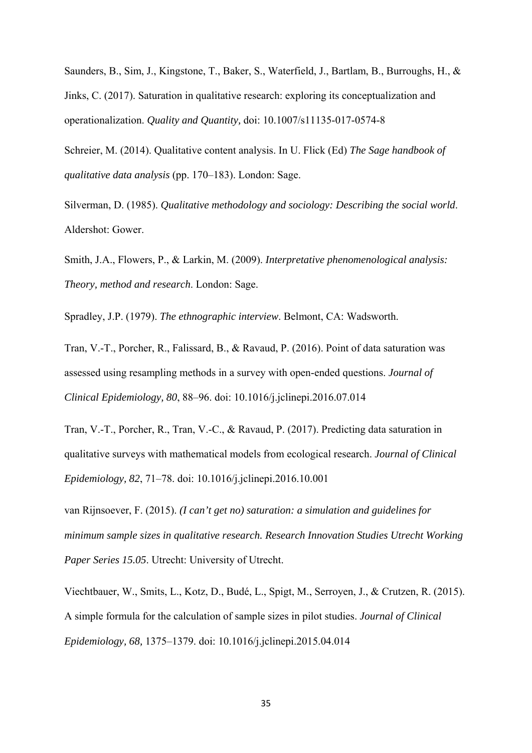Saunders, B., Sim, J., Kingstone, T., Baker, S., Waterfield, J., Bartlam, B., Burroughs, H., & Jinks, C. (2017). Saturation in qualitative research: exploring its conceptualization and operationalization. *Quality and Quantity,* doi: 10.1007/s11135-017-0574-8

Schreier, M. (2014). Qualitative content analysis. In U. Flick (Ed) *The Sage handbook of qualitative data analysis* (pp. 170–183). London: Sage.

Silverman, D. (1985). *Qualitative methodology and sociology: Describing the social world*. Aldershot: Gower.

Smith, J.A., Flowers, P., & Larkin, M. (2009). *Interpretative phenomenological analysis: Theory, method and research*. London: Sage.

Spradley, J.P. (1979). *The ethnographic interview*. Belmont, CA: Wadsworth.

Tran, V.-T., Porcher, R., Falissard, B., & Ravaud, P. (2016). Point of data saturation was assessed using resampling methods in a survey with open-ended questions. *Journal of Clinical Epidemiology, 80*, 88–96. doi: 10.1016/j.jclinepi.2016.07.014

Tran, V.-T., Porcher, R., Tran, V.-C., & Ravaud, P. (2017). Predicting data saturation in qualitative surveys with mathematical models from ecological research. *Journal of Clinical Epidemiology, 82*, 71–78. doi: 10.1016/j.jclinepi.2016.10.001

van Rijnsoever, F. (2015). *(I can't get no) saturation: a simulation and guidelines for minimum sample sizes in qualitative research. Research Innovation Studies Utrecht Working Paper Series 15.05*. Utrecht: University of Utrecht.

Viechtbauer, W., Smits, L., Kotz, D., Budé, L., Spigt, M., Serroyen, J., & Crutzen, R. (2015). A simple formula for the calculation of sample sizes in pilot studies. *Journal of Clinical Epidemiology, 68,* 1375–1379. doi: 10.1016/j.jclinepi.2015.04.014